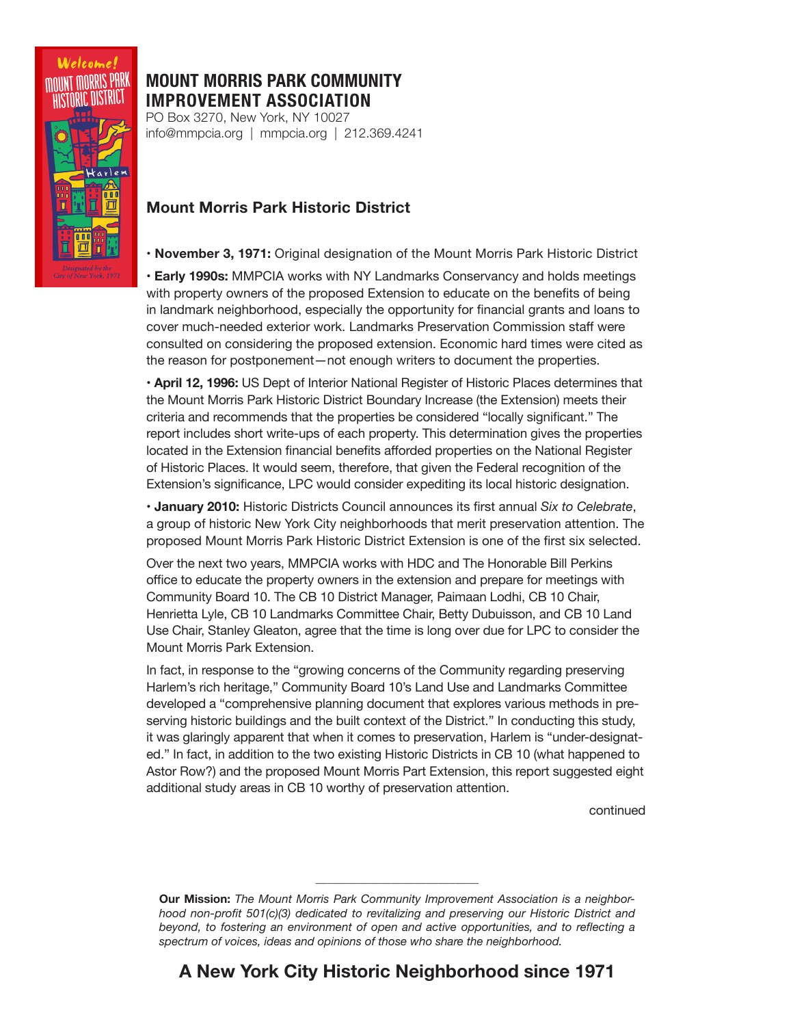

## **MOUNT MORRIS PARK COMMUNITY IMPROVEMENT ASSOCIATION**

PO Box 3270, New York, NY 10027 info@mmpcia.org | mmpcia.org | 212.369.4241

## **Mount Morris Park Historic District**

**• November 3, 1971:** Original designation of the Mount Morris Park Historic District

**• Early 1990s:** MMPCIA works with NY Landmarks Conservancy and holds meetings with property owners of the proposed Extension to educate on the benefits of being in landmark neighborhood, especially the opportunity for financial grants and loans to cover much-needed exterior work. Landmarks Preservation Commission staff were consulted on considering the proposed extension. Economic hard times were cited as the reason for postponement—not enough writers to document the properties.

**• April 12, 1996:** US Dept of Interior National Register of Historic Places determines that the Mount Morris Park Historic District Boundary Increase (the Extension) meets their criteria and recommends that the properties be considered "locally significant." The report includes short write-ups of each property. This determination gives the properties located in the Extension financial benefits afforded properties on the National Register of Historic Places. It would seem, therefore, that given the Federal recognition of the Extension's significance, LPC would consider expediting its local historic designation.

**• January 2010:** Historic Districts Council announces its first annual *Six to Celebrate*, a group of historic New York City neighborhoods that merit preservation attention. The proposed Mount Morris Park Historic District Extension is one of the first six selected.

Over the next two years, MMPCIA works with HDC and The Honorable Bill Perkins office to educate the property owners in the extension and prepare for meetings with Community Board 10. The CB 10 District Manager, Paimaan Lodhi, CB 10 Chair, Henrietta Lyle, CB 10 Landmarks Committee Chair, Betty Dubuisson, and CB 10 Land Use Chair, Stanley Gleaton, agree that the time is long over due for LPC to consider the Mount Morris Park Extension.

In fact, in response to the "growing concerns of the Community regarding preserving Harlem's rich heritage," Community Board 10's Land Use and Landmarks Committee developed a "comprehensive planning document that explores various methods in preserving historic buildings and the built context of the District." In conducting this study, it was glaringly apparent that when it comes to preservation, Harlem is "under-designated." In fact, in addition to the two existing Historic Districts in CB 10 (what happened to Astor Row?) and the proposed Mount Morris Part Extension, this report suggested eight additional study areas in CB 10 worthy of preservation attention.

continued

**Our Mission:** *The Mount Morris Park Community Improvement Association is a neighborhood non-profit 501(c)(3) dedicated to revitalizing and preserving our Historic District and beyond, to fostering an environment of open and active opportunities, and to reflecting a spectrum of voices, ideas and opinions of those who share the neighborhood.* 

**\_\_\_\_\_\_\_\_\_\_\_\_\_\_\_\_\_\_\_\_\_\_\_\_\_\_\_\_**